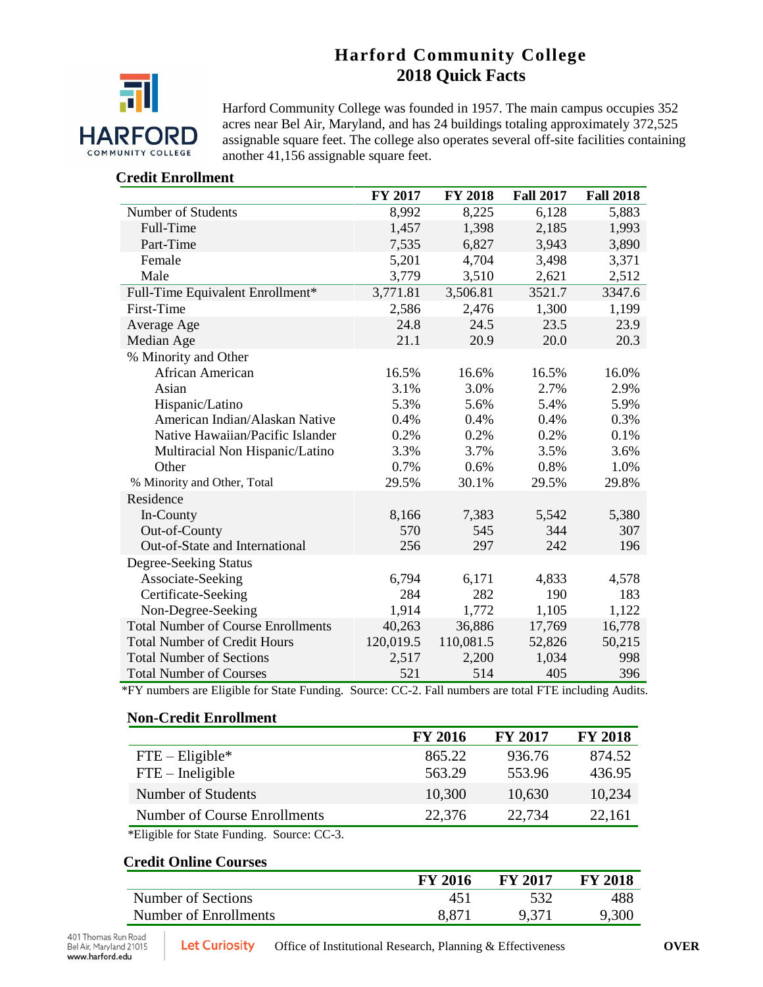# **Harford Community College 2018 Quick Facts**



Harford Community College was founded in 1957. The main campus occupies 352 acres near Bel Air, Maryland, and has 24 buildings totaling approximately 372,525 assignable square feet. The college also operates several off-site facilities containing another 41,156 assignable square feet.

## **Credit Enrollment**

|                                           | FY 2017   | <b>FY 2018</b> | <b>Fall 2017</b> | <b>Fall 2018</b> |
|-------------------------------------------|-----------|----------------|------------------|------------------|
| Number of Students                        | 8,992     | 8,225          | 6,128            | 5,883            |
| Full-Time                                 | 1,457     | 1,398          | 2,185            | 1,993            |
| Part-Time                                 | 7,535     | 6,827          | 3,943            | 3,890            |
| Female                                    | 5,201     | 4,704          | 3,498            | 3,371            |
| Male                                      | 3,779     | 3,510          | 2,621            | 2,512            |
| Full-Time Equivalent Enrollment*          | 3,771.81  | 3,506.81       | 3521.7           | 3347.6           |
| <b>First-Time</b>                         | 2,586     | 2,476          | 1,300            | 1,199            |
| Average Age                               | 24.8      | 24.5           | 23.5             | 23.9             |
| Median Age                                | 21.1      | 20.9           | 20.0             | 20.3             |
| % Minority and Other                      |           |                |                  |                  |
| African American                          | 16.5%     | 16.6%          | 16.5%            | 16.0%            |
| Asian                                     | 3.1%      | 3.0%           | 2.7%             | 2.9%             |
| Hispanic/Latino                           | 5.3%      | 5.6%           | 5.4%             | 5.9%             |
| American Indian/Alaskan Native            | 0.4%      | 0.4%           | 0.4%             | 0.3%             |
| Native Hawaiian/Pacific Islander          | 0.2%      | 0.2%           | 0.2%             | 0.1%             |
| Multiracial Non Hispanic/Latino           | 3.3%      | 3.7%           | 3.5%             | 3.6%             |
| Other                                     | 0.7%      | 0.6%           | 0.8%             | 1.0%             |
| % Minority and Other, Total               | 29.5%     | 30.1%          | 29.5%            | 29.8%            |
| Residence                                 |           |                |                  |                  |
| In-County                                 | 8,166     | 7,383          | 5,542            | 5,380            |
| Out-of-County                             | 570       | 545            | 344              | 307              |
| Out-of-State and International            | 256       | 297            | 242              | 196              |
| Degree-Seeking Status                     |           |                |                  |                  |
| Associate-Seeking                         | 6,794     | 6,171          | 4,833            | 4,578            |
| Certificate-Seeking                       | 284       | 282            | 190              | 183              |
| Non-Degree-Seeking                        | 1,914     | 1,772          | 1,105            | 1,122            |
| <b>Total Number of Course Enrollments</b> | 40,263    | 36,886         | 17,769           | 16,778           |
| <b>Total Number of Credit Hours</b>       | 120,019.5 | 110,081.5      | 52,826           | 50,215           |
| <b>Total Number of Sections</b>           | 2,517     | 2,200          | 1,034            | 998              |
| <b>Total Number of Courses</b>            | 521       | 514            | 405              | 396              |

\*FY numbers are Eligible for State Funding. Source: CC-2. Fall numbers are total FTE including Audits.

#### **Non-Credit Enrollment**

| <b>FY 2016</b> | <b>FY 2017</b> | <b>FY 2018</b> |
|----------------|----------------|----------------|
| 865.22         | 936.76         | 874.52         |
| 563.29         | 553.96         | 436.95         |
| 10,300         | 10,630         | 10,234         |
| 22,376         | 22,734         | 22,161         |
|                |                |                |

\*Eligible for State Funding. Source: CC-3.

## **Credit Online Courses**

|                       | FY 2016 | <b>FY 2017</b> | <b>FY 2018</b> |
|-----------------------|---------|----------------|----------------|
| Number of Sections    |         | 532            | 488            |
| Number of Enrollments | 8,871   | 9,371          | 9,300          |